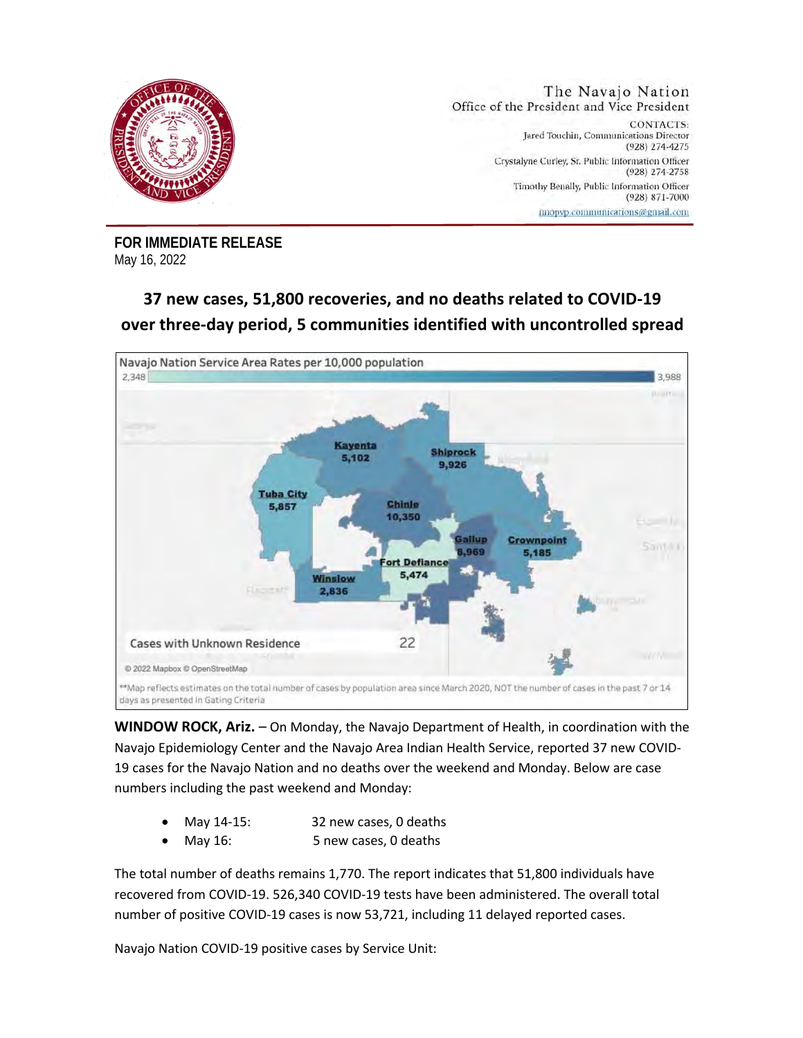

**FOR IMMEDIATE RELEASE**  May 16, 2022

## **37 new cases, 51,800 recoveries, and no deaths related to COVID-19 over three-day period, 5 communities identified with uncontrolled spread**



**WINDOW ROCK, Ariz.** – On Monday, the Navajo Department of Health, in coordination with the Navajo Epidemiology Center and the Navajo Area Indian Health Service, reported 37 new COVID-19 cases for the Navajo Nation and no deaths over the weekend and Monday. Below are case numbers including the past weekend and Monday:

- May 14-15: 32 new cases, 0 deaths
- May 16: 5 new cases, 0 deaths

The total number of deaths remains 1,770. The report indicates that 51,800 individuals have recovered from COVID-19. 526,340 COVID-19 tests have been administered. The overall total number of positive COVID-19 cases is now 53,721, including 11 delayed reported cases.

Navajo Nation COVID-19 positive cases by Service Unit: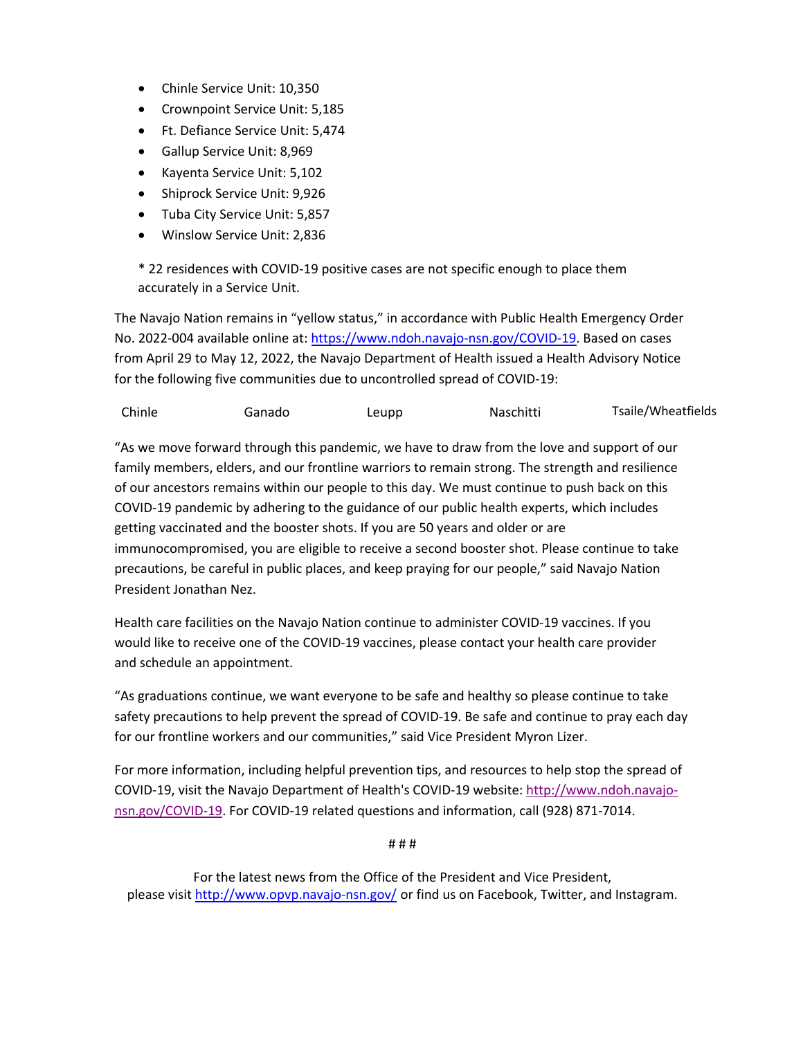- Chinle Service Unit: 10,350
- Crownpoint Service Unit: 5,185
- Ft. Defiance Service Unit: 5,474
- Gallup Service Unit: 8,969
- Kayenta Service Unit: 5,102
- Shiprock Service Unit: 9,926
- Tuba City Service Unit: 5,857
- Winslow Service Unit: 2,836

\* 22 residences with COVID-19 positive cases are not specific enough to place them accurately in a Service Unit.

The Navajo Nation remains in "yellow status," in accordance with Public Health Emergency Order No. 2022-004 available online at: https://www.ndoh.navajo-nsn.gov/COVID-19. Based on cases from April 29 to May 12, 2022, the Navajo Department of Health issued a Health Advisory Notice for the following five communities due to uncontrolled spread of COVID-19:

Chinle Ganado Leupp Naschitti Tsaile/Wheatfields

"As we move forward through this pandemic, we have to draw from the love and support of our family members, elders, and our frontline warriors to remain strong. The strength and resilience of our ancestors remains within our people to this day. We must continue to push back on this COVID-19 pandemic by adhering to the guidance of our public health experts, which includes getting vaccinated and the booster shots. If you are 50 years and older or are immunocompromised, you are eligible to receive a second booster shot. Please continue to take precautions, be careful in public places, and keep praying for our people," said Navajo Nation President Jonathan Nez.

Health care facilities on the Navajo Nation continue to administer COVID-19 vaccines. If you would like to receive one of the COVID-19 vaccines, please contact your health care provider and schedule an appointment.

"As graduations continue, we want everyone to be safe and healthy so please continue to take safety precautions to help prevent the spread of COVID-19. Be safe and continue to pray each day for our frontline workers and our communities," said Vice President Myron Lizer.

For more information, including helpful prevention tips, and resources to help stop the spread of COVID-19, visit the Navajo Department of Health's COVID-19 website: http://www.ndoh.navajonsn.gov/COVID-19. For COVID-19 related questions and information, call (928) 871-7014.

# # #

For the latest news from the Office of the President and Vice President, please visit http://www.opvp.navajo-nsn.gov/ or find us on Facebook, Twitter, and Instagram.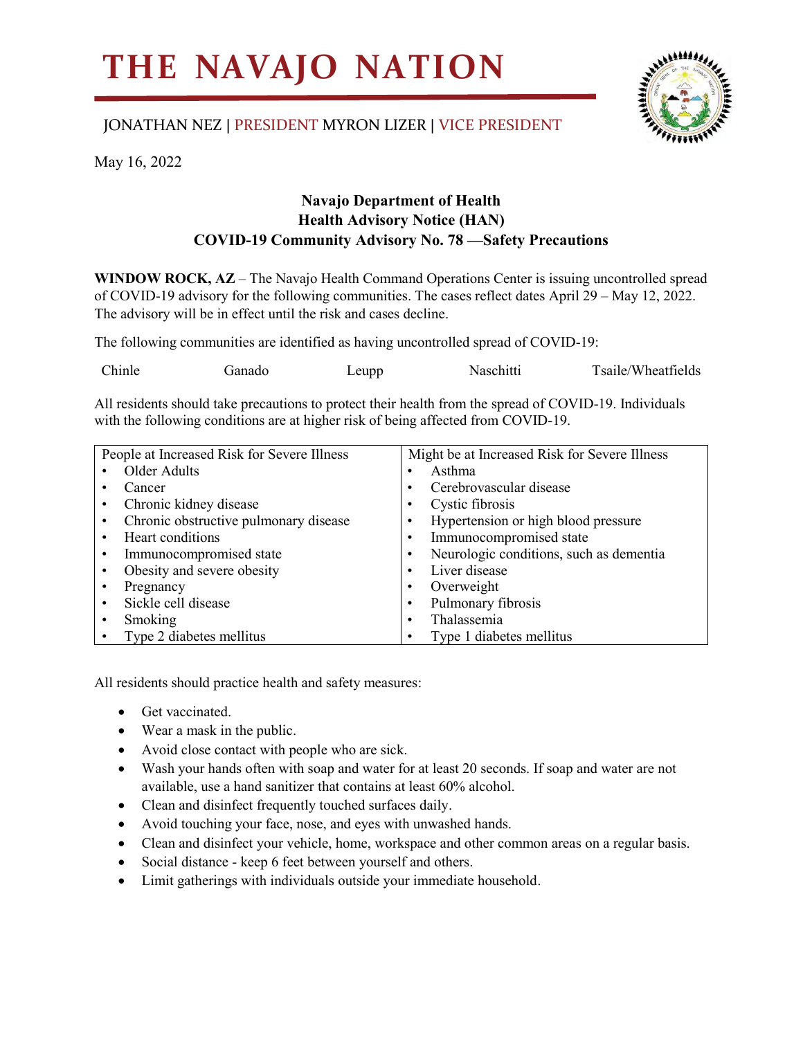## **THE NAVAJO NATION**

## JONATHAN NEZ | PRESIDENT MYRON LIZER | VICE PRESIDENT



May 16, 2022

## **Navajo Department of Health Health Advisory Notice (HAN) COVID-19 Community Advisory No. 78 —Safety Precautions**

**WINDOW ROCK, AZ** – The Navajo Health Command Operations Center is issuing uncontrolled spread of COVID-19 advisory for the following communities. The cases reflect dates April 29 – May 12, 2022. The advisory will be in effect until the risk and cases decline.

The following communities are identified as having uncontrolled spread of COVID-19:

| Chinle | Ganado | $L$ eupp | Naschitti | Tsaile/Wheatfields |
|--------|--------|----------|-----------|--------------------|
|        |        |          |           |                    |

All residents should take precautions to protect their health from the spread of COVID-19. Individuals with the following conditions are at higher risk of being affected from COVID-19.

| People at Increased Risk for Severe Illness |                                       | Might be at Increased Risk for Severe Illness |                                         |
|---------------------------------------------|---------------------------------------|-----------------------------------------------|-----------------------------------------|
|                                             | Older Adults                          |                                               | Asthma                                  |
|                                             | Cancer                                |                                               | Cerebrovascular disease                 |
|                                             | Chronic kidney disease                |                                               | Cystic fibrosis                         |
|                                             | Chronic obstructive pulmonary disease |                                               | Hypertension or high blood pressure     |
|                                             | Heart conditions                      |                                               | Immunocompromised state                 |
|                                             | Immunocompromised state               |                                               | Neurologic conditions, such as dementia |
|                                             | Obesity and severe obesity            |                                               | Liver disease                           |
|                                             | Pregnancy                             |                                               | Overweight                              |
|                                             | Sickle cell disease                   |                                               | Pulmonary fibrosis                      |
|                                             | Smoking                               |                                               | Thalassemia                             |
|                                             | Type 2 diabetes mellitus              |                                               | Type 1 diabetes mellitus                |

All residents should practice health and safety measures:

- Get vaccinated.
- Wear a mask in the public.
- Avoid close contact with people who are sick.
- Wash your hands often with soap and water for at least 20 seconds. If soap and water are not available, use a hand sanitizer that contains at least 60% alcohol.
- Clean and disinfect frequently touched surfaces daily.
- Avoid touching your face, nose, and eyes with unwashed hands.
- Clean and disinfect your vehicle, home, workspace and other common areas on a regular basis.
- Social distance keep 6 feet between yourself and others.
- Limit gatherings with individuals outside your immediate household.